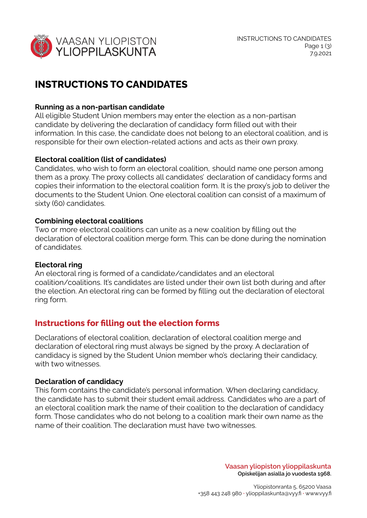

# **INSTRUCTIONS TO CANDIDATES**

### **Running as a non-partisan candidate**

All eligible Student Union members may enter the election as a non-partisan candidate by delivering the declaration of candidacy form filled out with their information. In this case, the candidate does not belong to an electoral coalition, and is responsible for their own election-related actions and acts as their own proxy.

## **Electoral coalition (list of candidates)**

Candidates, who wish to form an electoral coalition, should name one person among them as a proxy. The proxy collects all candidates' declaration of candidacy forms and copies their information to the electoral coalition form. It is the proxy's job to deliver the documents to the Student Union. One electoral coalition can consist of a maximum of sixty (60) candidates.

### **Combining electoral coalitions**

Two or more electoral coalitions can unite as a new coalition by filling out the declaration of electoral coalition merge form. This can be done during the nomination of candidates.

### **Electoral ring**

An electoral ring is formed of a candidate/candidates and an electoral coalition/coalitions. It's candidates are listed under their own list both during and after the election. An electoral ring can be formed by filling out the declaration of electoral ring form.

# **Instructions for filling out the election forms**

Declarations of electoral coalition, declaration of electoral coalition merge and declaration of electoral ring must always be signed by the proxy. A declaration of candidacy is signed by the Student Union member who's declaring their candidacy, with two witnesses.

### **Declaration of candidacy**

This form contains the candidate's personal information. When declaring candidacy, the candidate has to submit their student email address. Candidates who are a part of an electoral coalition mark the name of their coalition to the declaration of candidacy form. Those candidates who do not belong to a coalition mark their own name as the name of their coalition. The declaration must have two witnesses.

> **Vaasan yliopiston ylioppilaskunta Opiskelijan asialla jo vuodesta 1968.**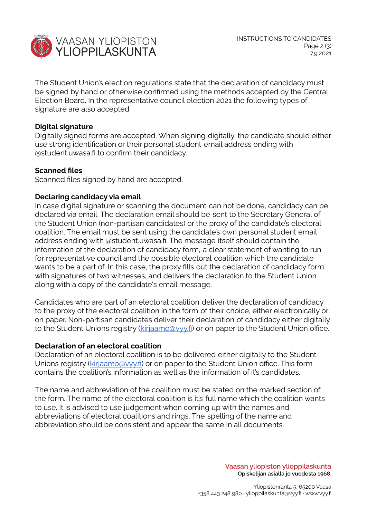

The Student Union's election regulations state that the declaration of candidacy must be signed by hand or otherwise confirmed using the methods accepted by the Central Election Board. In the representative council election 2021 the following types of signature are also accepted:

#### **Digital signature**

Digitally signed forms are accepted. When signing digitally, the candidate should either use strong identification or their personal student email address ending with @student.uwasa.fi to confirm their candidacy.

#### **Scanned files**

Scanned files signed by hand are accepted.

#### **Declaring candidacy via email**

In case digital signature or scanning the document can not be done, candidacy can be declared via email. The declaration email should be sent to the Secretary General of the Student Union (non-partisan candidates) or the proxy of the candidate's electoral coalition. The email must be sent using the candidate's own personal student email address ending with @student.uwasa.fi. The message itself should contain the information of the declaration of candidacy form, a clear statement of wanting to run for representative council and the possible electoral coalition which the candidate wants to be a part of. In this case, the proxy fills out the declaration of candidacy form with signatures of two witnesses, and delivers the declaration to the Student Union along with a copy of the candidate's email message.

Candidates who are part of an electoral coalition deliver the declaration of candidacy to the proxy of the electoral coalition in the form of their choice, either electronically or on paper. Non-partisan candidates deliver their declaration of candidacy either digitally to the Student Unions registry ([kirjaamo@vyy.fi](mailto:kirjaamo@vyy.fi)) or on paper to the Student Union office.

#### **Declaration of an electoral coalition**

Declaration of an electoral coalition is to be delivered either digitally to the Student Unions registry ([kirjaamo@vyy.fi\)](mailto:kirjaamo@vyy.fi) or on paper to the Student Union office. This form contains the coalition's information as well as the information of it's candidates.

The name and abbreviation of the coalition must be stated on the marked section of the form. The name of the electoral coalition is it's full name which the coalition wants to use. It is advised to use judgement when coming up with the names and abbreviations of electoral coalitions and rings. The spelling of the name and abbreviation should be consistent and appear the same in all documents.

> **Vaasan yliopiston ylioppilaskunta Opiskelijan asialla jo vuodesta 1968.**